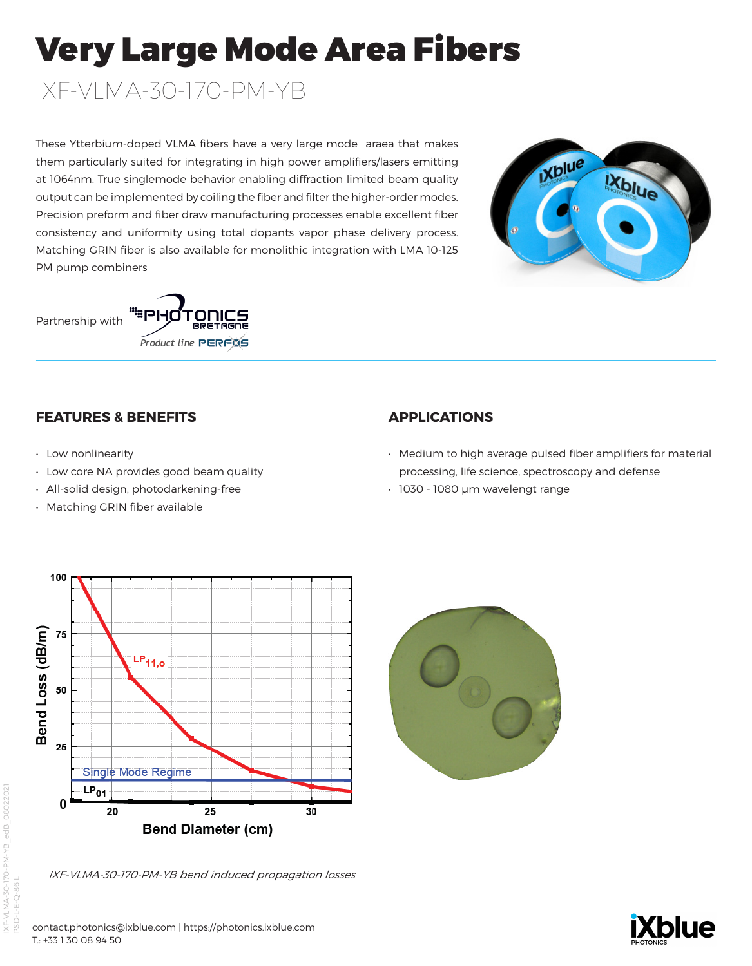# Very Large Mode Area Fibers

IXF-VLMA-30-170-PM-YB

These Ytterbium-doped VLMA fibers have a very large mode araea that makes them particularly suited for integrating in high power amplifiers/lasers emitting at 1064nm. True singlemode behavior enabling diffraction limited beam quality output can be implemented by coiling the fiber and filter the higher-order modes. Precision preform and fiber draw manufacturing processes enable excellent fiber consistency and uniformity using total dopants vapor phase delivery process. Matching GRIN fiber is also available for monolithic integration with LMA 10-125 PM pump combiners







## **FEATURES & BENEFITS**

- Low nonlinearity
- Low core NA provides good beam quality
- All-solid design, photodarkening-free
- Matching GRIN fiber available

## **APPLICATIONS**

- Medium to high average pulsed fiber amplifiers for material processing, life science, spectroscopy and defense
- 1030 1080 µm wavelengt range